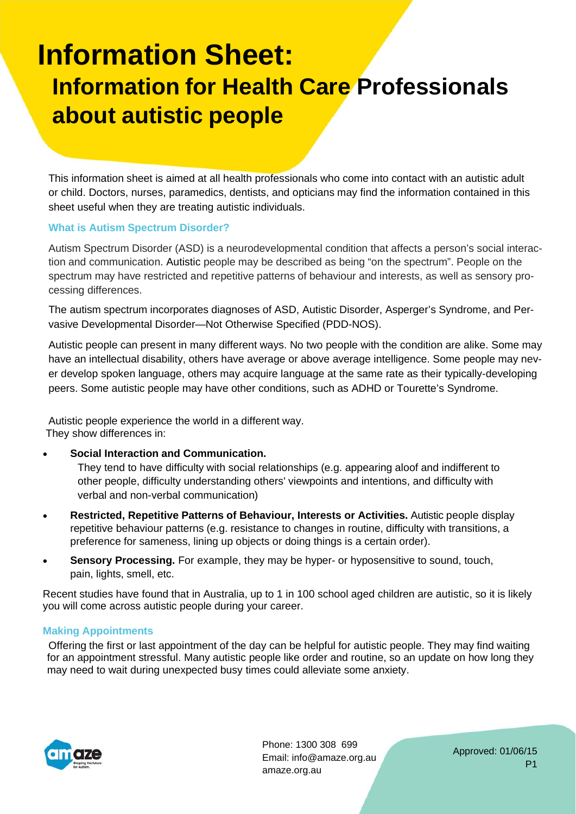# **Information Sheet: Information for Health Care Professionals about autistic people**

This information sheet is aimed at all health professionals who come into contact with an autistic adult or child. Doctors, nurses, paramedics, dentists, and opticians may find the information contained in this sheet useful when they are treating autistic individuals.

### **What is Autism Spectrum Disorder?**

Autism Spectrum Disorder (ASD) is a neurodevelopmental condition that affects a person's social interaction and communication. Autistic people may be described as being "on the spectrum". People on the spectrum may have restricted and repetitive patterns of behaviour and interests, as well as sensory processing differences.

The autism spectrum incorporates diagnoses of ASD, Autistic Disorder, Asperger's Syndrome, and Pervasive Developmental Disorder—Not Otherwise Specified (PDD-NOS).

Autistic people can present in many different ways. No two people with the condition are alike. Some may have an intellectual disability, others have average or above average intelligence. Some people may never develop spoken language, others may acquire language at the same rate as their typically-developing peers. Some autistic people may have other conditions, such as ADHD or Tourette's Syndrome.

Autistic people experience the world in a different way. They show differences in:

#### **Social Interaction and Communication.**

 They tend to have difficulty with social relationships (e.g. appearing aloof and indifferent to other people, difficulty understanding others' viewpoints and intentions, and difficulty with verbal and non-verbal communication)

- **Restricted, Repetitive Patterns of Behaviour, Interests or Activities.** Autistic people display repetitive behaviour patterns (e.g. resistance to changes in routine, difficulty with transitions, a preference for sameness, lining up objects or doing things is a certain order).
- **Sensory Processing.** For example, they may be hyper- or hyposensitive to sound, touch, pain, lights, smell, etc.

Recent studies have found that in Australia, up to 1 in 100 school aged children are autistic, so it is likely you will come across autistic people during your career.

#### **Making Appointments**

Offering the first or last appointment of the day can be helpful for autistic people. They may find waiting for an appointment stressful. Many autistic people like order and routine, so an update on how long they may need to wait during unexpected busy times could alleviate some anxiety.



Phone: 1300 308 699 Email: info@amaze.org.au amaze.org.au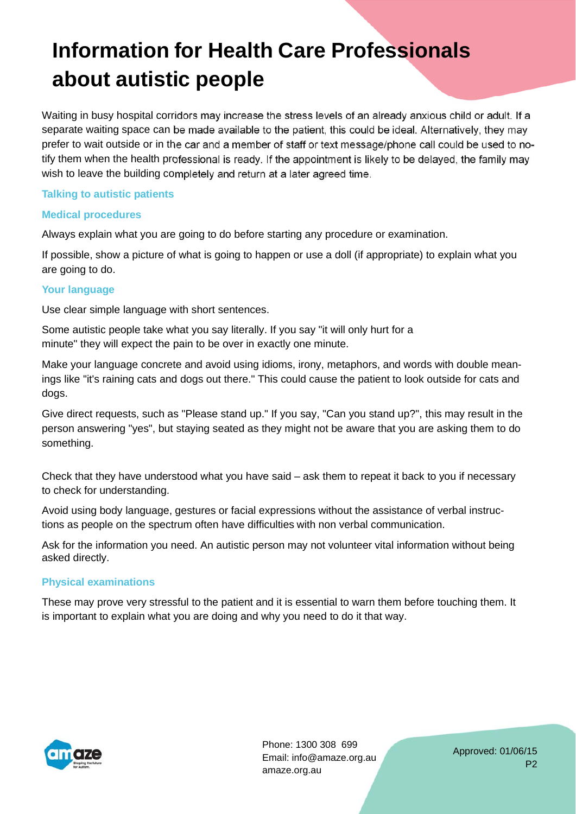Waiting in busy hospital corridors may increase the stress levels of an already anxious child or adult. If a separate waiting space can be made available to the patient, this could be ideal. Alternatively, they may prefer to wait outside or in the car and a member of staff or text message/phone call could be used to notify them when the health professional is ready. If the appointment is likely to be delayed, the family may wish to leave the building completely and return at a later agreed time.

### **Talking to autistic patients**

### **Medical procedures**

Always explain what you are going to do before starting any procedure or examination.

If possible, show a picture of what is going to happen or use a doll (if appropriate) to explain what you are going to do.

### **Your language**

Use clear simple language with short sentences.

Some autistic people take what you say literally. If you say "it will only hurt for a minute" they will expect the pain to be over in exactly one minute.

Make your language concrete and avoid using idioms, irony, metaphors, and words with double meanings like "it's raining cats and dogs out there." This could cause the patient to look outside for cats and dogs.

Give direct requests, such as "Please stand up." If you say, "Can you stand up?", this may result in the person answering "yes", but staying seated as they might not be aware that you are asking them to do something.

Check that they have understood what you have said – ask them to repeat it back to you if necessary to check for understanding.

Avoid using body language, gestures or facial expressions without the assistance of verbal instructions as people on the spectrum often have difficulties with non verbal communication.

Ask for the information you need. An autistic person may not volunteer vital information without being asked directly.

### **Physical examinations**

These may prove very stressful to the patient and it is essential to warn them before touching them. It is important to explain what you are doing and why you need to do it that way.



Phone: 1300 308 699 Email: info@amaze.org.au amaze.org.au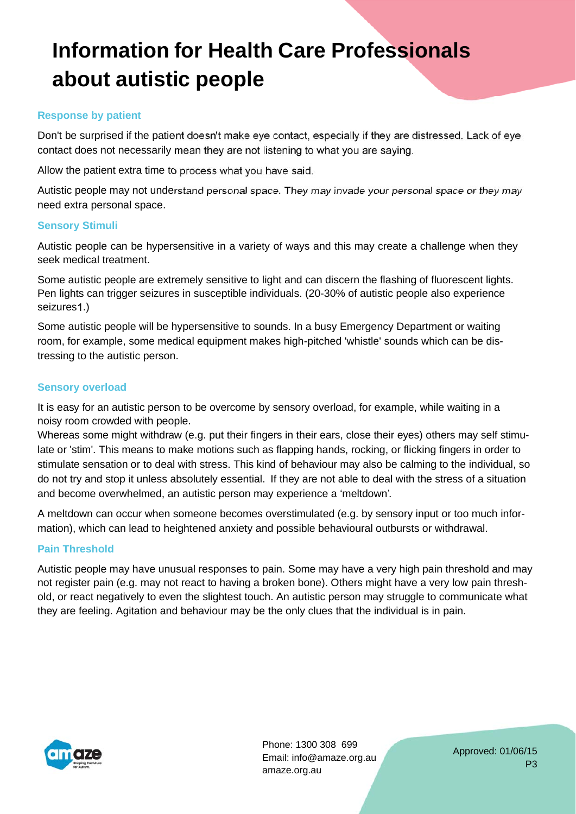#### **Response by patient**

Don't be surprised if the patient doesn't make eye contact, especially if they are distressed. Lack of eye contact does not necessarily mean they are not listening to what you are saying.

Allow the patient extra time to process what you have said.

Autistic people may not understand personal space. They may invade your personal space or they may need extra personal space.

### **Sensory Stimuli**

Autistic people can be hypersensitive in a variety of ways and this may create a challenge when they seek medical treatment.

Some autistic people are extremely sensitive to light and can discern the flashing of fluorescent lights. Pen lights can trigger seizures in susceptible individuals. (20-30% of autistic people also experience seizures 1.)

Some autistic people will be hypersensitive to sounds. In a busy Emergency Department or waiting room, for example, some medical equipment makes high-pitched 'whistle' sounds which can be distressing to the autistic person.

#### **Sensory overload**

It is easy for an autistic person to be overcome by sensory overload, for example, while waiting in a noisy room crowded with people.

Whereas some might withdraw (e.g. put their fingers in their ears, close their eyes) others may self stimulate or 'stim'. This means to make motions such as flapping hands, rocking, or flicking fingers in order to stimulate sensation or to deal with stress. This kind of behaviour may also be calming to the individual, so do not try and stop it unless absolutely essential. If they are not able to deal with the stress of a situation and become overwhelmed, an autistic person may experience a 'meltdown'.

A meltdown can occur when someone becomes overstimulated (e.g. by sensory input or too much information), which can lead to heightened anxiety and possible behavioural outbursts or withdrawal.

### **Pain Threshold**

Autistic people may have unusual responses to pain. Some may have a very high pain threshold and may not register pain (e.g. may not react to having a broken bone). Others might have a very low pain threshold, or react negatively to even the slightest touch. An autistic person may struggle to communicate what they are feeling. Agitation and behaviour may be the only clues that the individual is in pain.



Phone: 1300 308 699 Email: info@amaze.org.au amaze.org.au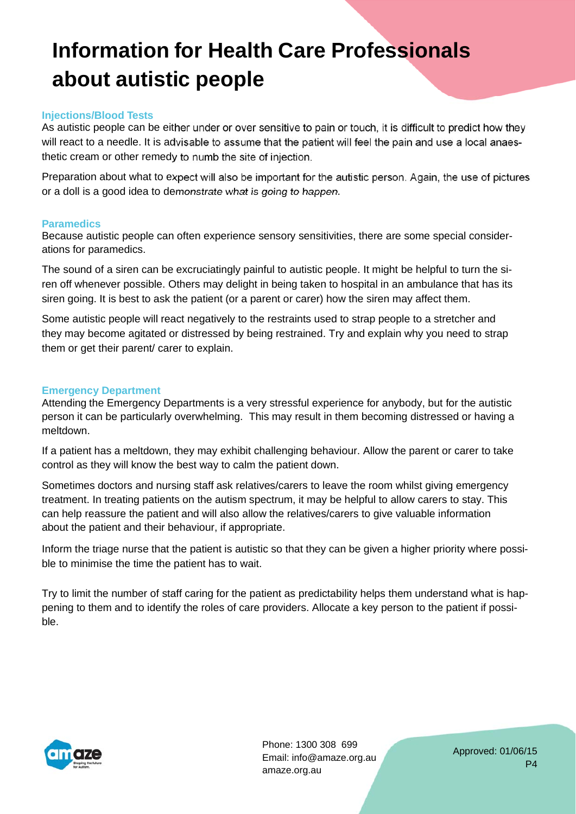#### **Injections/Blood Tests**

As autistic people can be either under or over sensitive to pain or touch, it is difficult to predict how they will react to a needle. It is advisable to assume that the patient will feel the pain and use a local anaesthetic cream or other remedy to numb the site of injection.

Preparation about what to expect will also be important for the autistic person. Again, the use of pictures or a doll is a good idea to demonstrate what is going to happen.

#### **Paramedics**

Because autistic people can often experience sensory sensitivities, there are some special considerations for paramedics.

The sound of a siren can be excruciatingly painful to autistic people. It might be helpful to turn the siren off whenever possible. Others may delight in being taken to hospital in an ambulance that has its siren going. It is best to ask the patient (or a parent or carer) how the siren may affect them.

Some autistic people will react negatively to the restraints used to strap people to a stretcher and they may become agitated or distressed by being restrained. Try and explain why you need to strap them or get their parent/ carer to explain.

#### **Emergency Department**

Attending the Emergency Departments is a very stressful experience for anybody, but for the autistic person it can be particularly overwhelming. This may result in them becoming distressed or having a meltdown.

If a patient has a meltdown, they may exhibit challenging behaviour. Allow the parent or carer to take control as they will know the best way to calm the patient down.

Sometimes doctors and nursing staff ask relatives/carers to leave the room whilst giving emergency treatment. In treating patients on the autism spectrum, it may be helpful to allow carers to stay. This can help reassure the patient and will also allow the relatives/carers to give valuable information about the patient and their behaviour, if appropriate.

Inform the triage nurse that the patient is autistic so that they can be given a higher priority where possible to minimise the time the patient has to wait.

Try to limit the number of staff caring for the patient as predictability helps them understand what is happening to them and to identify the roles of care providers. Allocate a key person to the patient if possible.



Phone: 1300 308 699 Email: info@amaze.org.au amaze.org.au